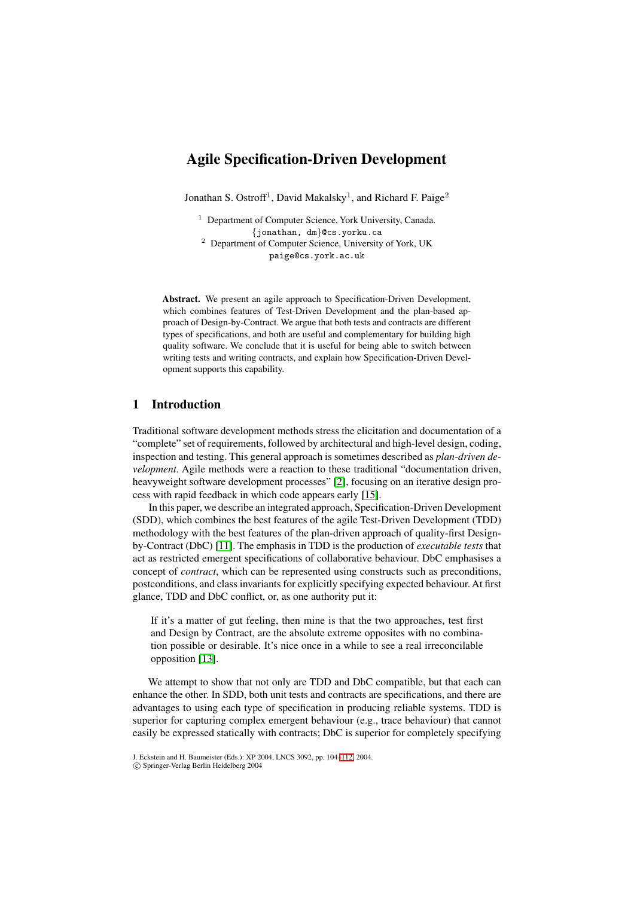# **Agile Specification-Driven Development**

Jonathan S. Ostroff<sup>1</sup>, David Makalsky<sup>1</sup>, and Richard F. Paige<sup>2</sup>

<sup>1</sup> Department of Computer Science, York University, Canada.  $\{j$ onathan, dm}@cs.yorku.ca <sup>2</sup> Department of Computer Science, University of York, UK paige@cs.york.ac.uk

**Abstract.** We present an agile approach to Specification-Driven Development, which combines features of Test-Driven Development and the plan-based approach of Design-by-Contract. We argue that both tests and contracts are different types of specifications, and both are useful and complementary for building high quality software. We conclude that it is useful for being able to switch between writing tests and writing contracts, and explain how Specification-Driven Development supports this capability.

### **1 Introduction**

Traditional software development methods stress the elicitation and documentation of a "complete" set of requirements, followed by architectural and high-level design, coding, inspection and testing. This general approach is sometimes described as *plan-driven development*. Agile methods were a reaction to these traditional "documentation driven, heavyweight software development processes" [\[2\]](#page-8-0), focusing on an iterative design process with rapid feedback in which code appears early [\[15\]](#page-8-0).

In this paper, we describe an integrated approach, Specification-Driven Development (SDD), which combines the best features of the agile Test-Driven Development (TDD) methodology with the best features of the plan-driven approach of quality-first Designby-Contract (DbC) [\[11\]](#page-8-0). The emphasis in TDD is the production of *executable tests* that act as restricted emergent specifications of collaborative behaviour. DbC emphasises a concept of *contract*, which can be represented using constructs such as preconditions, postconditions, and class invariants for explicitly specifying expected behaviour. At first glance, TDD and DbC conflict, or, as one authority put it:

If it's a matter of gut feeling, then mine is that the two approaches, test first and Design by Contract, are the absolute extreme opposites with no combination possible or desirable. It's nice once in a while to see a real irreconcilable opposition [\[13\]](#page-8-0).

We attempt to show that not only are TDD and DbC compatible, but that each can enhance the other. In SDD, both unit tests and contracts are specifications, and there are advantages to using each type of specification in producing reliable systems. TDD is superior for capturing complex emergent behaviour (e.g., trace behaviour) that cannot easily be expressed statically with contracts; DbC is superior for completely specifying

c Springer-Verlag Berlin Heidelberg 2004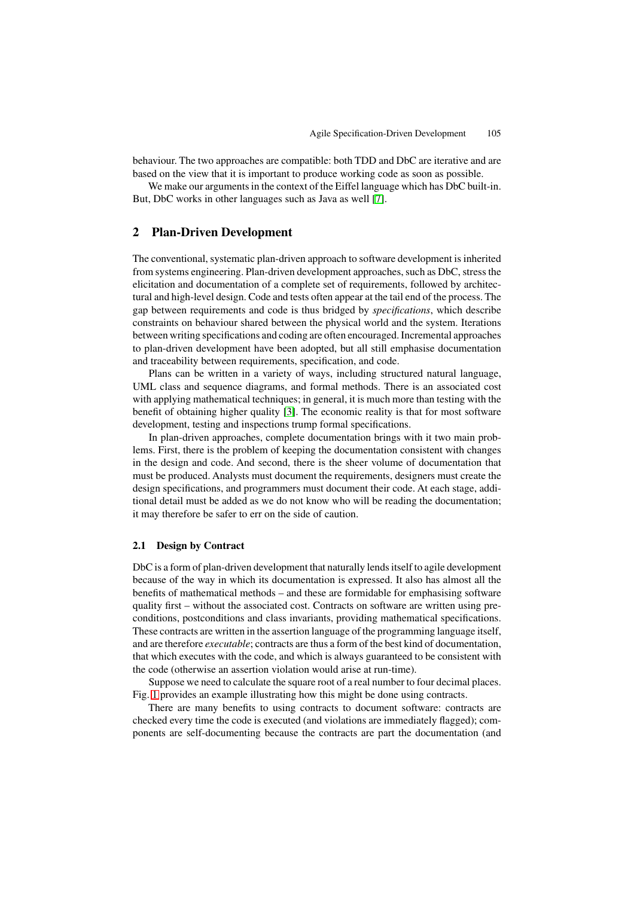behaviour. The two approaches are compatible: both TDD and DbC are iterative and are based on the view that it is important to produce working code as soon as possible.

We make our arguments in the context of the Eiffel language which has DbC built-in. But, DbC works in other languages such as Java as well [\[7\]](#page-8-0).

### **2 Plan-Driven Development**

The conventional, systematic plan-driven approach to software development is inherited from systems engineering. Plan-driven development approaches, such as DbC, stress the elicitation and documentation of a complete set of requirements, followed by architectural and high-level design. Code and tests often appear at the tail end of the process. The gap between requirements and code is thus bridged by *specifications*, which describe constraints on behaviour shared between the physical world and the system. Iterations between writing specifications and coding are often encouraged. Incremental approaches to plan-driven development have been adopted, but all still emphasise documentation and traceability between requirements, specification, and code.

Plans can be written in a variety of ways, including structured natural language, UML class and sequence diagrams, and formal methods. There is an associated cost with applying mathematical techniques; in general, it is much more than testing with the benefit of obtaining higher quality [\[3\]](#page-8-0). The economic reality is that for most software development, testing and inspections trump formal specifications.

In plan-driven approaches, complete documentation brings with it two main problems. First, there is the problem of keeping the documentation consistent with changes in the design and code. And second, there is the sheer volume of documentation that must be produced. Analysts must document the requirements, designers must create the design specifications, and programmers must document their code. At each stage, additional detail must be added as we do not know who will be reading the documentation; it may therefore be safer to err on the side of caution.

#### **2.1 Design by Contract**

DbC is a form of plan-driven development that naturally lends itself to agile development because of the way in which its documentation is expressed. It also has almost all the benefits of mathematical methods – and these are formidable for emphasising software quality first – without the associated cost. Contracts on software are written using preconditions, postconditions and class invariants, providing mathematical specifications. These contracts are written in the assertion language of the programming language itself, and are therefore *executable*; contracts are thus a form of the best kind of documentation, that which executes with the code, and which is always guaranteed to be consistent with the code (otherwise an assertion violation would arise at run-time).

Suppose we need to calculate the square root of a real number to four decimal places. Fig. [1](#page-2-0) provides an example illustrating how this might be done using contracts.

There are many benefits to using contracts to document software: contracts are checked every time the code is executed (and violations are immediately flagged); components are self-documenting because the contracts are part the documentation (and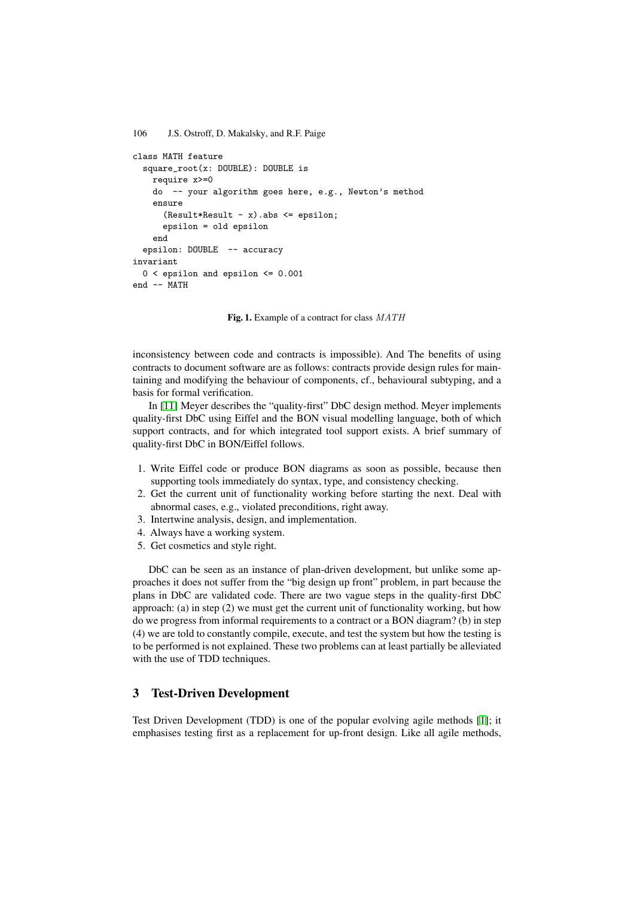```
class MATH feature
  square_root(x: DOUBLE): DOUBLE is
    require x>=0
    do -- your algorithm goes here, e.g., Newton's method
    ensure
      (Result *Result - x).abs \leq epsilon;epsilon = old epsilon
    end
  epsilon: DOUBLE -- accuracy
invariant
 0 < epsilon and epsilon <= 0.001
end -- MATH
```
**Fig. 1.** Example of a contract for class MATH

inconsistency between code and contracts is impossible). And The benefits of using contracts to document software are as follows: contracts provide design rules for maintaining and modifying the behaviour of components, cf., behavioural subtyping, and a basis for formal verification.

In [\[11\]](#page-8-0) Meyer describes the "quality-first" DbC design method. Meyer implements quality-first DbC using Eiffel and the BON visual modelling language, both of which support contracts, and for which integrated tool support exists. A brief summary of quality-first DbC in BON/Eiffel follows.

- 1. Write Eiffel code or produce BON diagrams as soon as possible, because then supporting tools immediately do syntax, type, and consistency checking.
- 2. Get the current unit of functionality working before starting the next. Deal with abnormal cases, e.g., violated preconditions, right away.
- 3. Intertwine analysis, design, and implementation.
- 4. Always have a working system.
- 5. Get cosmetics and style right.

DbC can be seen as an instance of plan-driven development, but unlike some approaches it does not suffer from the "big design up front" problem, in part because the plans in DbC are validated code. There are two vague steps in the quality-first DbC approach: (a) in step (2) we must get the current unit of functionality working, but how do we progress from informal requirements to a contract or a BON diagram? (b) in step (4) we are told to constantly compile, execute, and test the system but how the testing is to be performed is not explained. These two problems can at least partially be alleviated with the use of TDD techniques.

## **3 Test-Driven Development**

Test Driven Development (TDD) is one of the popular evolving agile methods [\[1\]](#page-8-0); it emphasises testing first as a replacement for up-front design. Like all agile methods,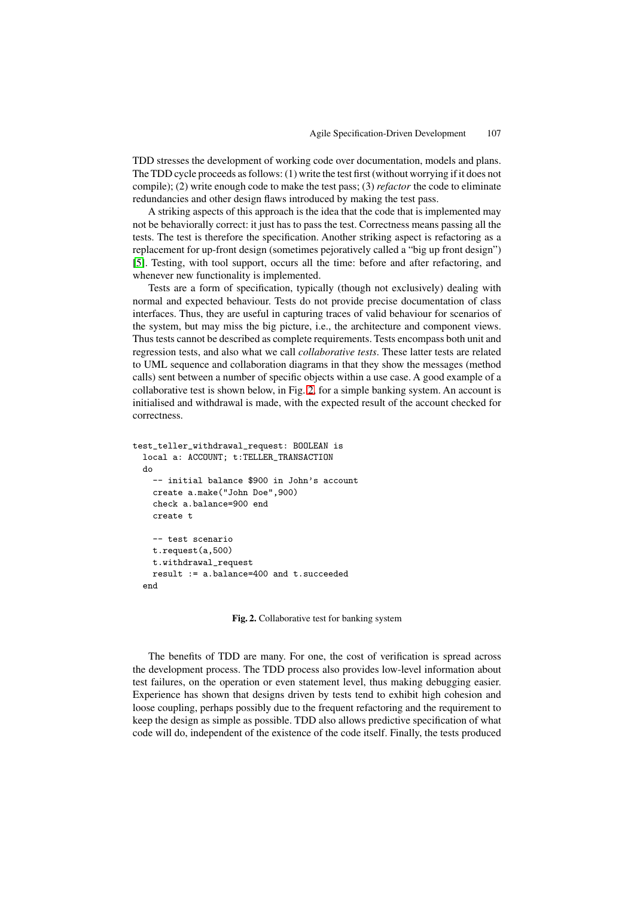TDD stresses the development of working code over documentation, models and plans. The TDD cycle proceeds as follows: (1) write the test first (without worrying if it does not compile); (2) write enough code to make the test pass; (3) *refactor* the code to eliminate redundancies and other design flaws introduced by making the test pass.

A striking aspects of this approach is the idea that the code that is implemented may not be behaviorally correct: it just has to pass the test. Correctness means passing all the tests. The test is therefore the specification. Another striking aspect is refactoring as a replacement for up-front design (sometimes pejoratively called a "big up front design") [\[5\]](#page-8-0). Testing, with tool support, occurs all the time: before and after refactoring, and whenever new functionality is implemented.

Tests are a form of specification, typically (though not exclusively) dealing with normal and expected behaviour. Tests do not provide precise documentation of class interfaces. Thus, they are useful in capturing traces of valid behaviour for scenarios of the system, but may miss the big picture, i.e., the architecture and component views. Thus tests cannot be described as complete requirements. Tests encompass both unit and regression tests, and also what we call *collaborative tests*. These latter tests are related to UML sequence and collaboration diagrams in that they show the messages (method calls) sent between a number of specific objects within a use case. A good example of a collaborative test is shown below, in Fig. 2, for a simple banking system. An account is initialised and withdrawal is made, with the expected result of the account checked for correctness.

```
test_teller_withdrawal_request: BOOLEAN is
 local a: ACCOUNT; t:TELLER_TRANSACTION
 do
    -- initial balance $900 in John's account
    create a.make("John Doe",900)
    check a.balance=900 end
    create t
    -- test scenario
    t.request(a,500)
    t.withdrawal_request
    result := a.balance=400 and t.succeeded
  end
```
**Fig. 2.** Collaborative test for banking system

The benefits of TDD are many. For one, the cost of verification is spread across the development process. The TDD process also provides low-level information about test failures, on the operation or even statement level, thus making debugging easier. Experience has shown that designs driven by tests tend to exhibit high cohesion and loose coupling, perhaps possibly due to the frequent refactoring and the requirement to keep the design as simple as possible. TDD also allows predictive specification of what code will do, independent of the existence of the code itself. Finally, the tests produced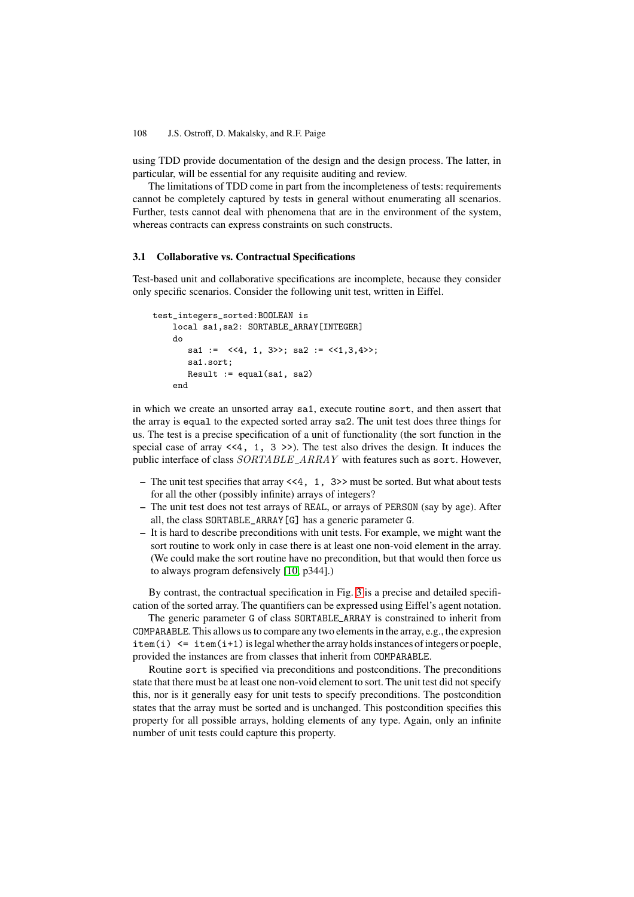using TDD provide documentation of the design and the design process. The latter, in particular, will be essential for any requisite auditing and review.

The limitations of TDD come in part from the incompleteness of tests: requirements cannot be completely captured by tests in general without enumerating all scenarios. Further, tests cannot deal with phenomena that are in the environment of the system, whereas contracts can express constraints on such constructs.

#### **3.1 Collaborative vs. Contractual Specifications**

Test-based unit and collaborative specifications are incomplete, because they consider only specific scenarios. Consider the following unit test, written in Eiffel.

```
test_integers_sorted:BOOLEAN is
    local sa1,sa2: SORTABLE_ARRAY[INTEGER]
    do
        sa1 := \langle 4, 1, 3 \rangle; sa2 := \langle 1, 3, 4 \rangle;
        sa1.sort;
        Result := equal(sa1, sa2)
    end
```
in which we create an unsorted array sa1, execute routine sort, and then assert that the array is equal to the expected sorted array sa2. The unit test does three things for us. The test is a precise specification of a unit of functionality (the sort function in the special case of array  $\langle 4, 1, 3 \rangle$ . The test also drives the design. It induces the public interface of class  $SORTABLE\_ARRAY$  with features such as sort. However,

- **–** The unit test specifies that array <<4, 1, 3>> must be sorted. But what about tests for all the other (possibly infinite) arrays of integers?
- **–** The unit test does not test arrays of REAL, or arrays of PERSON (say by age). After all, the class SORTABLE\_ARRAY[G] has a generic parameter G.
- **–** It is hard to describe preconditions with unit tests. For example, we might want the sort routine to work only in case there is at least one non-void element in the array. (We could make the sort routine have no precondition, but that would then force us to always program defensively [\[10,](#page-8-0) p344].)

By contrast, the contractual specification in Fig. [3](#page-5-0) is a precise and detailed specification of the sorted array. The quantifiers can be expressed using Eiffel's agent notation.

The generic parameter G of class SORTABLE ARRAY is constrained to inherit from COMPARABLE. This allows us to compare any two elements in the array, e.g., the expresion  $item(i) \leq item(i+1)$  is legal whether the array holds instances of integers or poeple, provided the instances are from classes that inherit from COMPARABLE.

Routine sort is specified via preconditions and postconditions. The preconditions state that there must be at least one non-void element to sort. The unit test did not specify this, nor is it generally easy for unit tests to specify preconditions. The postcondition states that the array must be sorted and is unchanged. This postcondition specifies this property for all possible arrays, holding elements of any type. Again, only an infinite number of unit tests could capture this property.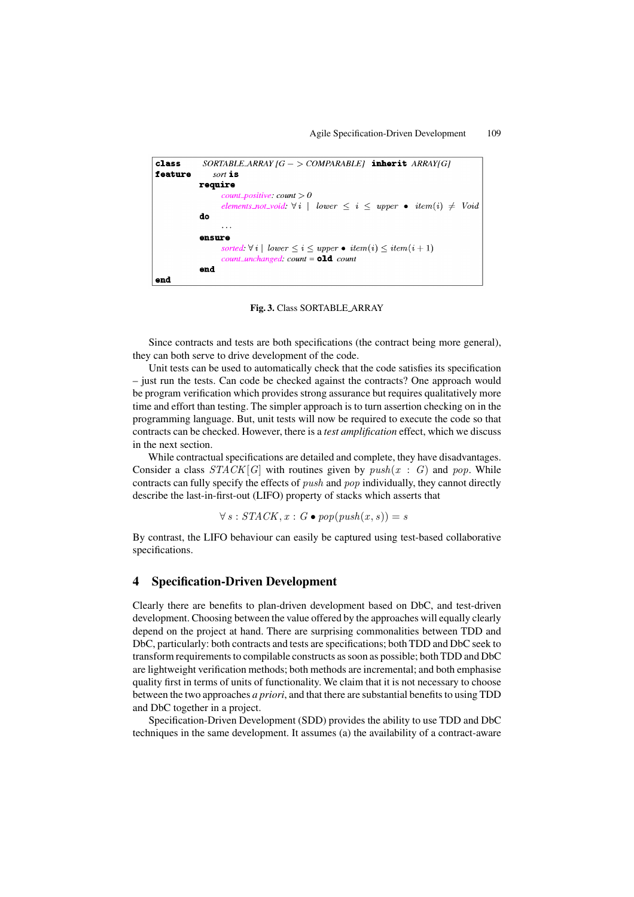```
class
            SORTABLE\_ARRAY/G -> COMPARABLE inherit ARRAY/Gfeature
               sort is
           require
                 count\_positive: count > 0elements_not_void: \forall i \mid lower \leq i \leq upper \bullet item(i) \neq voiddo
           ensure
                 sorted \forall i \mid lower \leq i \leq upper \bullet item(i) \leq item(i+1)count\_unchanged: count = old count
           end
end
```
**Fig. 3.** Class SORTABLE ARRAY

Since contracts and tests are both specifications (the contract being more general), they can both serve to drive development of the code.

Unit tests can be used to automatically check that the code satisfies its specification – just run the tests. Can code be checked against the contracts? One approach would be program verification which provides strong assurance but requires qualitatively more time and effort than testing. The simpler approach is to turn assertion checking on in the programming language. But, unit tests will now be required to execute the code so that contracts can be checked. However, there is a *test amplification* effect, which we discuss in the next section.

While contractual specifications are detailed and complete, they have disadvantages. Consider a class  $STACK[G]$  with routines given by  $push(x : G)$  and pop. While contracts can fully specify the effects of push and pop individually, they cannot directly describe the last-in-first-out (LIFO) property of stacks which asserts that

$$
\forall s: STACK, x: G \bullet pop(push(x, s)) = s
$$

By contrast, the LIFO behaviour can easily be captured using test-based collaborative specifications.

#### **4 Specification-Driven Development**

Clearly there are benefits to plan-driven development based on DbC, and test-driven development. Choosing between the value offered by the approaches will equally clearly depend on the project at hand. There are surprising commonalities between TDD and DbC, particularly: both contracts and tests are specifications; both TDD and DbC seek to transform requirements to compilable constructs as soon as possible; both TDD and DbC are lightweight verification methods; both methods are incremental; and both emphasise quality first in terms of units of functionality. We claim that it is not necessary to choose between the two approaches *a priori*, and that there are substantial benefits to using TDD and DbC together in a project.

Specification-Driven Development (SDD) provides the ability to use TDD and DbC techniques in the same development. It assumes (a) the availability of a contract-aware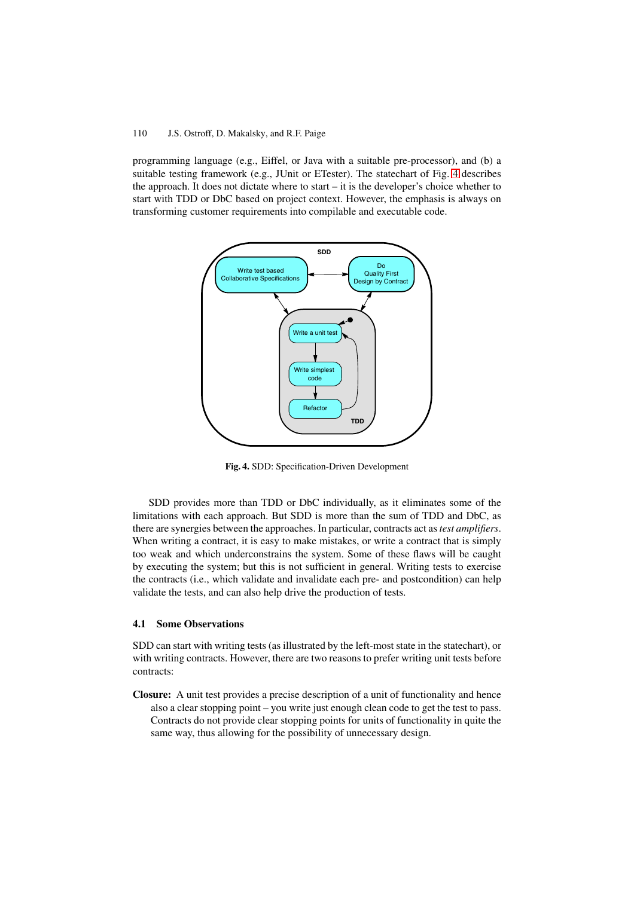programming language (e.g., Eiffel, or Java with a suitable pre-processor), and (b) a suitable testing framework (e.g., JUnit or ETester). The statechart of Fig. 4 describes the approach. It does not dictate where to start – it is the developer's choice whether to start with TDD or DbC based on project context. However, the emphasis is always on transforming customer requirements into compilable and executable code.



**Fig. 4.** SDD: Specification-Driven Development

SDD provides more than TDD or DbC individually, as it eliminates some of the limitations with each approach. But SDD is more than the sum of TDD and DbC, as there are synergies between the approaches. In particular, contracts act as*test amplifiers*. When writing a contract, it is easy to make mistakes, or write a contract that is simply too weak and which underconstrains the system. Some of these flaws will be caught by executing the system; but this is not sufficient in general. Writing tests to exercise the contracts (i.e., which validate and invalidate each pre- and postcondition) can help validate the tests, and can also help drive the production of tests.

#### **4.1 Some Observations**

SDD can start with writing tests (as illustrated by the left-most state in the statechart), or with writing contracts. However, there are two reasons to prefer writing unit tests before contracts:

**Closure:** A unit test provides a precise description of a unit of functionality and hence also a clear stopping point – you write just enough clean code to get the test to pass. Contracts do not provide clear stopping points for units of functionality in quite the same way, thus allowing for the possibility of unnecessary design.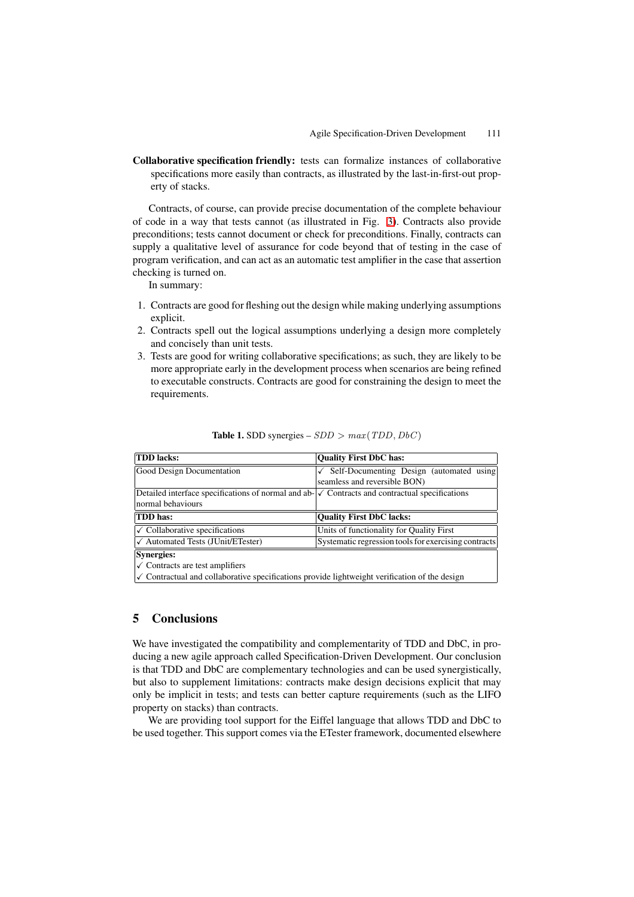<span id="page-7-0"></span>**Collaborative specification friendly:** tests can formalize instances of collaborative specifications more easily than contracts, as illustrated by the last-in-first-out property of stacks.

Contracts, of course, can provide precise documentation of the complete behaviour of code in a way that tests cannot (as illustrated in Fig. [3\)](#page-5-0). Contracts also provide preconditions; tests cannot document or check for preconditions. Finally, contracts can supply a qualitative level of assurance for code beyond that of testing in the case of program verification, and can act as an automatic test amplifier in the case that assertion checking is turned on.

In summary:

- 1. Contracts are good for fleshing out the design while making underlying assumptions explicit.
- 2. Contracts spell out the logical assumptions underlying a design more completely and concisely than unit tests.
- 3. Tests are good for writing collaborative specifications; as such, they are likely to be more appropriate early in the development process when scenarios are being refined to executable constructs. Contracts are good for constraining the design to meet the requirements.

| <b>TDD</b> lacks:                                                                                        | <b>Quality First DbC has:</b>                        |
|----------------------------------------------------------------------------------------------------------|------------------------------------------------------|
| Good Design Documentation                                                                                | Self-Documenting Design (automated using)            |
|                                                                                                          | seamless and reversible BON)                         |
| Detailed interface specifications of normal and ab- $\sqrt{\ }$ Contracts and contractual specifications |                                                      |
| normal behaviours                                                                                        |                                                      |
| TDD has:                                                                                                 | <b>Ouality First DbC lacks:</b>                      |
| $\checkmark$ Collaborative specifications                                                                | Units of functionality for Quality First             |
| $\sqrt{\phantom{a}}$ Automated Tests (JUnit/ETester)                                                     | Systematic regression tools for exercising contracts |
| Synergies:                                                                                               |                                                      |

**Table 1.** SDD synergies  $- SDD > max(TDD, DbC)$ 

 $\checkmark$  Contracts are test amplifiers

 $\checkmark$  Contractual and collaborative specifications provide lightweight verification of the design

# **5 Conclusions**

We have investigated the compatibility and complementarity of TDD and DbC, in producing a new agile approach called Specification-Driven Development. Our conclusion is that TDD and DbC are complementary technologies and can be used synergistically, but also to supplement limitations: contracts make design decisions explicit that may only be implicit in tests; and tests can better capture requirements (such as the LIFO property on stacks) than contracts.

We are providing tool support for the Eiffel language that allows TDD and DbC to be used together. This support comes via the ETester framework, documented elsewhere